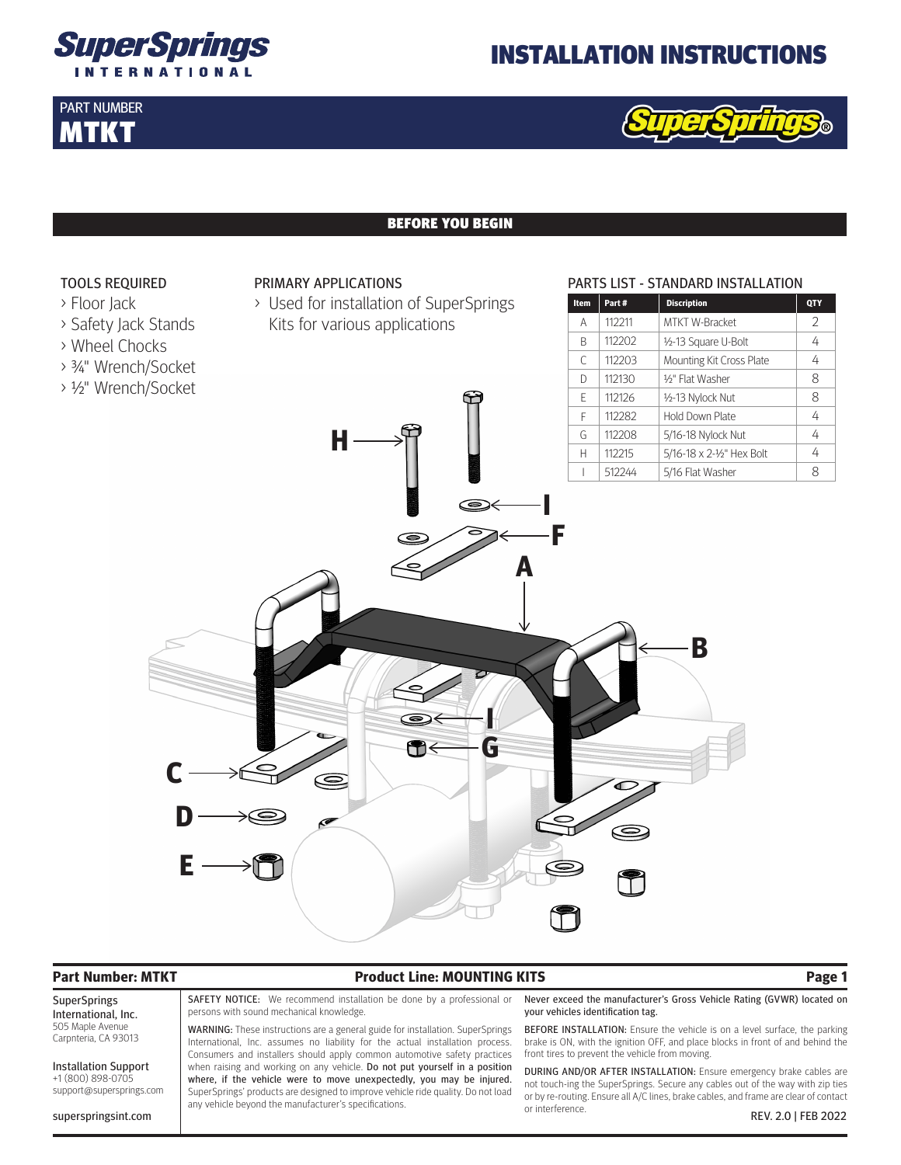

PART NUMBER MTKT

## INSTALLATION INSTRUCTIONS



### BEFORE YOU BEGIN



SuperSprings International, Inc. 505 Maple Avenue Carpnteria, CA 93013 Installation Support +1 (800) 898-0705 support@supersprings.com

## **Part Number: MTKT Product Line: MOUNTING KITS Page 1**

SAFETY NOTICE: We recommend installation be done by a professional or persons with sound mechanical knowledge.

WARNING: These instructions are a general guide for installation. SuperSprings International, Inc. assumes no liability for the actual installation process. Consumers and installers should apply common automotive safety practices when raising and working on any vehicle. Do not put yourself in a position where, if the vehicle were to move unexpectedly, you may be injured. SuperSprings' products are designed to improve vehicle ride quality. Do not load any vehicle beyond the manufacturer's specifications.

Never exceed the manufacturer's Gross Vehicle Rating (GVWR) located on your vehicles identification tag.

BEFORE INSTALLATION: Ensure the vehicle is on a level surface, the parking brake is ON, with the ignition OFF, and place blocks in front of and behind the front tires to prevent the vehicle from moving.

superspringsint.com REV. 2.0 | FEB 2022 DURING AND/OR AFTER INSTALLATION: Ensure emergency brake cables are not touch-ing the SuperSprings. Secure any cables out of the way with zip ties or by re-routing. Ensure all A/C lines, brake cables, and frame are clear of contact or interference.